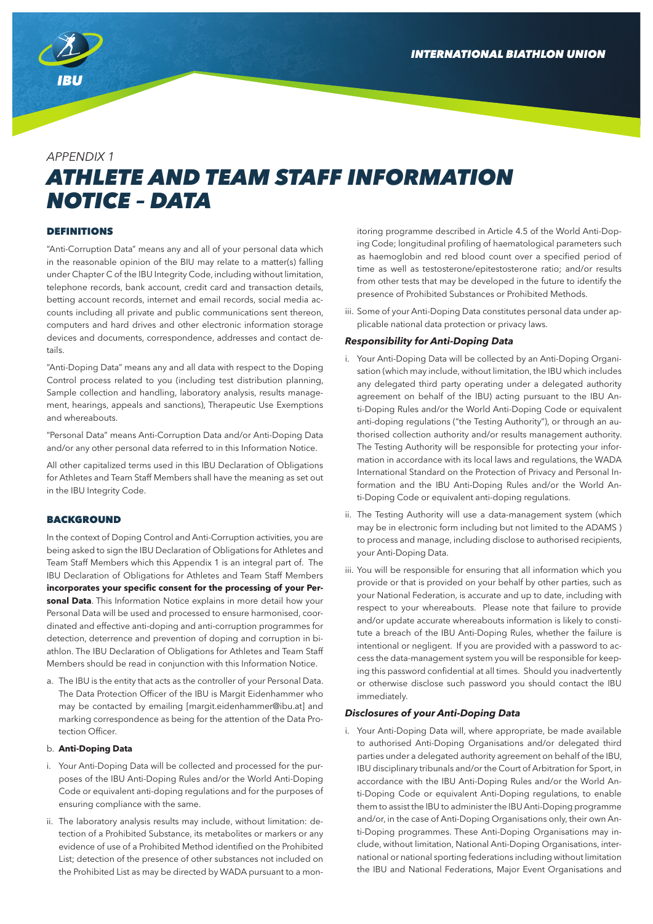

## *APPENDIX 1*

# *ATHLETE AND TEAM STAFF INFORMATION NOTICE – DATA*

## DEFINITIONS

"Anti-Corruption Data" means any and all of your personal data which in the reasonable opinion of the BIU may relate to a matter(s) falling under Chapter C of the IBU Integrity Code, including without limitation, telephone records, bank account, credit card and transaction details, betting account records, internet and email records, social media accounts including all private and public communications sent thereon, computers and hard drives and other electronic information storage devices and documents, correspondence, addresses and contact details.

"Anti-Doping Data" means any and all data with respect to the Doping Control process related to you (including test distribution planning, Sample collection and handling, laboratory analysis, results management, hearings, appeals and sanctions), Therapeutic Use Exemptions and whereabouts.

"Personal Data" means Anti-Corruption Data and/or Anti-Doping Data and/or any other personal data referred to in this Information Notice.

All other capitalized terms used in this IBU Declaration of Obligations for Athletes and Team Staff Members shall have the meaning as set out in the IBU Integrity Code.

#### **BACKGROUND**

In the context of Doping Control and Anti-Corruption activities, you are being asked to sign the IBU Declaration of Obligations for Athletes and Team Staff Members which this Appendix 1 is an integral part of. The IBU Declaration of Obligations for Athletes and Team Staff Members **incorporates your specific consent for the processing of your Personal Data**. This Information Notice explains in more detail how your Personal Data will be used and processed to ensure harmonised, coordinated and effective anti-doping and anti-corruption programmes for detection, deterrence and prevention of doping and corruption in biathlon. The IBU Declaration of Obligations for Athletes and Team Staff Members should be read in conjunction with this Information Notice.

a. The IBU is the entity that acts as the controller of your Personal Data. The Data Protection Officer of the IBU is Margit Eidenhammer who may be contacted by emailing [margit.eidenhammer@ibu.at] and marking correspondence as being for the attention of the Data Protection Officer.

## b. **Anti-Doping Data**

- i. Your Anti-Doping Data will be collected and processed for the purposes of the IBU Anti-Doping Rules and/or the World Anti-Doping Code or equivalent anti-doping regulations and for the purposes of ensuring compliance with the same.
- ii. The laboratory analysis results may include, without limitation: detection of a Prohibited Substance, its metabolites or markers or any evidence of use of a Prohibited Method identified on the Prohibited List; detection of the presence of other substances not included on the Prohibited List as may be directed by WADA pursuant to a mon-

itoring programme described in Article 4.5 of the World Anti-Doping Code; longitudinal profiling of haematological parameters such as haemoglobin and red blood count over a specified period of time as well as testosterone/epitestosterone ratio; and/or results from other tests that may be developed in the future to identify the presence of Prohibited Substances or Prohibited Methods.

iii. Some of your Anti-Doping Data constitutes personal data under applicable national data protection or privacy laws.

## *Responsibility for Anti-Doping Data*

- i. Your Anti-Doping Data will be collected by an Anti-Doping Organisation (which may include, without limitation, the IBU which includes any delegated third party operating under a delegated authority agreement on behalf of the IBU) acting pursuant to the IBU Anti-Doping Rules and/or the World Anti-Doping Code or equivalent anti-doping regulations ("the Testing Authority"), or through an authorised collection authority and/or results management authority. The Testing Authority will be responsible for protecting your information in accordance with its local laws and regulations, the WADA International Standard on the Protection of Privacy and Personal Information and the IBU Anti-Doping Rules and/or the World Anti-Doping Code or equivalent anti-doping regulations.
- ii. The Testing Authority will use a data-management system (which may be in electronic form including but not limited to the ADAMS ) to process and manage, including disclose to authorised recipients, your Anti-Doping Data.
- iii. You will be responsible for ensuring that all information which you provide or that is provided on your behalf by other parties, such as your National Federation, is accurate and up to date, including with respect to your whereabouts. Please note that failure to provide and/or update accurate whereabouts information is likely to constitute a breach of the IBU Anti-Doping Rules, whether the failure is intentional or negligent. If you are provided with a password to access the data-management system you will be responsible for keeping this password confidential at all times. Should you inadvertently or otherwise disclose such password you should contact the IBU immediately.

## *Disclosures of your Anti-Doping Data*

i. Your Anti-Doping Data will, where appropriate, be made available to authorised Anti-Doping Organisations and/or delegated third parties under a delegated authority agreement on behalf of the IBU, IBU disciplinary tribunals and/or the Court of Arbitration for Sport, in accordance with the IBU Anti-Doping Rules and/or the World Anti-Doping Code or equivalent Anti-Doping regulations, to enable them to assist the IBU to administer the IBU Anti-Doping programme and/or, in the case of Anti-Doping Organisations only, their own Anti-Doping programmes. These Anti-Doping Organisations may include, without limitation, National Anti-Doping Organisations, international or national sporting federations including without limitation the IBU and National Federations, Major Event Organisations and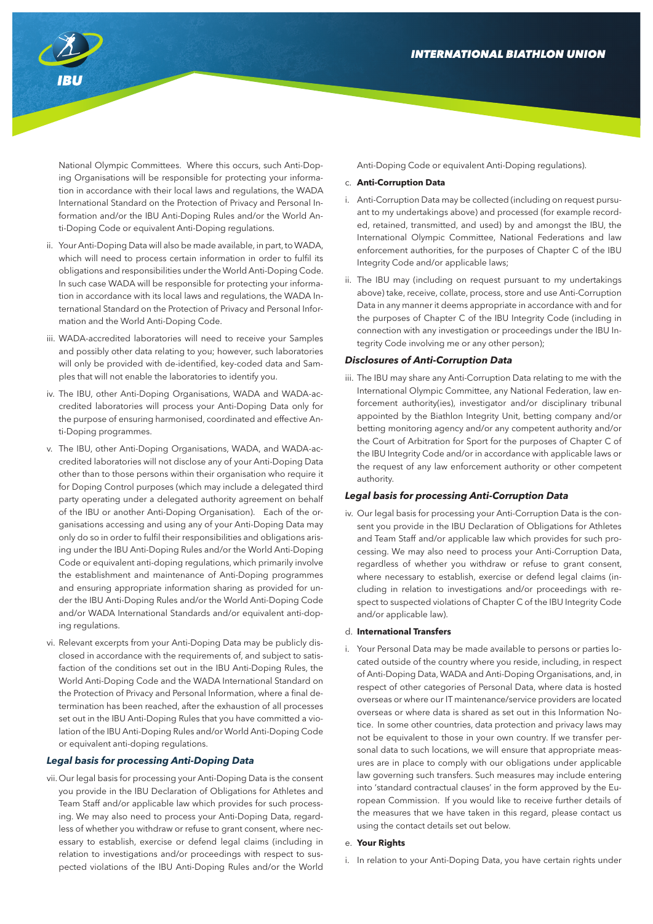

National Olympic Committees. Where this occurs, such Anti-Doping Organisations will be responsible for protecting your information in accordance with their local laws and regulations, the WADA International Standard on the Protection of Privacy and Personal Information and/or the IBU Anti-Doping Rules and/or the World Anti-Doping Code or equivalent Anti-Doping regulations.

- ii. Your Anti-Doping Data will also be made available, in part, to WADA, which will need to process certain information in order to fulfil its obligations and responsibilities under the World Anti-Doping Code. In such case WADA will be responsible for protecting your information in accordance with its local laws and regulations, the WADA International Standard on the Protection of Privacy and Personal Information and the World Anti-Doping Code.
- iii. WADA-accredited laboratories will need to receive your Samples and possibly other data relating to you; however, such laboratories will only be provided with de-identified, key-coded data and Samples that will not enable the laboratories to identify you.
- iv. The IBU, other Anti-Doping Organisations, WADA and WADA-accredited laboratories will process your Anti-Doping Data only for the purpose of ensuring harmonised, coordinated and effective Anti-Doping programmes.
- v. The IBU, other Anti-Doping Organisations, WADA, and WADA-accredited laboratories will not disclose any of your Anti-Doping Data other than to those persons within their organisation who require it for Doping Control purposes (which may include a delegated third party operating under a delegated authority agreement on behalf of the IBU or another Anti-Doping Organisation). Each of the organisations accessing and using any of your Anti-Doping Data may only do so in order to fulfil their responsibilities and obligations arising under the IBU Anti-Doping Rules and/or the World Anti-Doping Code or equivalent anti-doping regulations, which primarily involve the establishment and maintenance of Anti-Doping programmes and ensuring appropriate information sharing as provided for under the IBU Anti-Doping Rules and/or the World Anti-Doping Code and/or WADA International Standards and/or equivalent anti-doping regulations.
- vi. Relevant excerpts from your Anti-Doping Data may be publicly disclosed in accordance with the requirements of, and subject to satisfaction of the conditions set out in the IBU Anti-Doping Rules, the World Anti-Doping Code and the WADA International Standard on the Protection of Privacy and Personal Information, where a final determination has been reached, after the exhaustion of all processes set out in the IBU Anti-Doping Rules that you have committed a violation of the IBU Anti-Doping Rules and/or World Anti-Doping Code or equivalent anti-doping regulations.

## *Legal basis for processing Anti-Doping Data*

vii. Our legal basis for processing your Anti-Doping Data is the consent you provide in the IBU Declaration of Obligations for Athletes and Team Staff and/or applicable law which provides for such processing. We may also need to process your Anti-Doping Data, regardless of whether you withdraw or refuse to grant consent, where necessary to establish, exercise or defend legal claims (including in relation to investigations and/or proceedings with respect to suspected violations of the IBU Anti-Doping Rules and/or the World Anti-Doping Code or equivalent Anti-Doping regulations).

## c. **Anti-Corruption Data**

- i. Anti-Corruption Data may be collected (including on request pursuant to my undertakings above) and processed (for example recorded, retained, transmitted, and used) by and amongst the IBU, the International Olympic Committee, National Federations and law enforcement authorities, for the purposes of Chapter C of the IBU Integrity Code and/or applicable laws;
- ii. The IBU may (including on request pursuant to my undertakings above) take, receive, collate, process, store and use Anti-Corruption Data in any manner it deems appropriate in accordance with and for the purposes of Chapter C of the IBU Integrity Code (including in connection with any investigation or proceedings under the IBU Integrity Code involving me or any other person);

#### *Disclosures of Anti-Corruption Data*

iii. The IBU may share any Anti-Corruption Data relating to me with the International Olympic Committee, any National Federation, law enforcement authority(ies), investigator and/or disciplinary tribunal appointed by the Biathlon Integrity Unit, betting company and/or betting monitoring agency and/or any competent authority and/or the Court of Arbitration for Sport for the purposes of Chapter C of the IBU Integrity Code and/or in accordance with applicable laws or the request of any law enforcement authority or other competent authority.

## *Legal basis for processing Anti-Corruption Data*

iv. Our legal basis for processing your Anti-Corruption Data is the consent you provide in the IBU Declaration of Obligations for Athletes and Team Staff and/or applicable law which provides for such processing. We may also need to process your Anti-Corruption Data, regardless of whether you withdraw or refuse to grant consent, where necessary to establish, exercise or defend legal claims (including in relation to investigations and/or proceedings with respect to suspected violations of Chapter C of the IBU Integrity Code and/or applicable law).

#### d. **International Transfers**

Your Personal Data may be made available to persons or parties located outside of the country where you reside, including, in respect of Anti-Doping Data, WADA and Anti-Doping Organisations, and, in respect of other categories of Personal Data, where data is hosted overseas or where our IT maintenance/service providers are located overseas or where data is shared as set out in this Information Notice. In some other countries, data protection and privacy laws may not be equivalent to those in your own country. If we transfer personal data to such locations, we will ensure that appropriate measures are in place to comply with our obligations under applicable law governing such transfers. Such measures may include entering into 'standard contractual clauses' in the form approved by the European Commission. If you would like to receive further details of the measures that we have taken in this regard, please contact us using the contact details set out below.

#### e. **Your Rights**

In relation to your Anti-Doping Data, you have certain rights under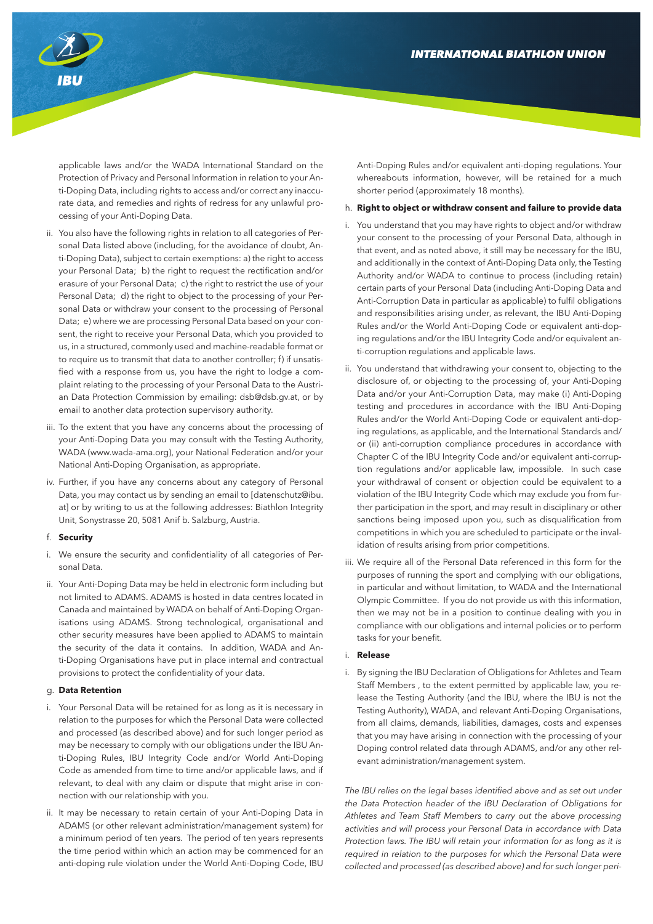

applicable laws and/or the WADA International Standard on the Protection of Privacy and Personal Information in relation to your Anti-Doping Data, including rights to access and/or correct any inaccurate data, and remedies and rights of redress for any unlawful processing of your Anti-Doping Data.

- ii. You also have the following rights in relation to all categories of Personal Data listed above (including, for the avoidance of doubt, Anti-Doping Data), subject to certain exemptions: a) the right to access your Personal Data; b) the right to request the rectification and/or erasure of your Personal Data; c) the right to restrict the use of your Personal Data; d) the right to object to the processing of your Personal Data or withdraw your consent to the processing of Personal Data; e) where we are processing Personal Data based on your consent, the right to receive your Personal Data, which you provided to us, in a structured, commonly used and machine-readable format or to require us to transmit that data to another controller: f) if unsatisfied with a response from us, you have the right to lodge a complaint relating to the processing of your Personal Data to the Austrian Data Protection Commission by emailing: dsb@dsb.gv.at, or by email to another data protection supervisory authority.
- iii. To the extent that you have any concerns about the processing of your Anti-Doping Data you may consult with the Testing Authority, WADA (www.wada-ama.org), your National Federation and/or your National Anti-Doping Organisation, as appropriate.
- iv. Further, if you have any concerns about any category of Personal Data, you may contact us by sending an email to [datenschutz@ibu. at] or by writing to us at the following addresses: Biathlon Integrity Unit, Sonystrasse 20, 5081 Anif b. Salzburg, Austria.

#### f. **Security**

- i. We ensure the security and confidentiality of all categories of Personal Data.
- ii. Your Anti-Doping Data may be held in electronic form including but not limited to ADAMS. ADAMS is hosted in data centres located in Canada and maintained by WADA on behalf of Anti-Doping Organisations using ADAMS. Strong technological, organisational and other security measures have been applied to ADAMS to maintain the security of the data it contains. In addition, WADA and Anti-Doping Organisations have put in place internal and contractual provisions to protect the confidentiality of your data.

## g. **Data Retention**

- i. Your Personal Data will be retained for as long as it is necessary in relation to the purposes for which the Personal Data were collected and processed (as described above) and for such longer period as may be necessary to comply with our obligations under the IBU Anti-Doping Rules, IBU Integrity Code and/or World Anti-Doping Code as amended from time to time and/or applicable laws, and if relevant, to deal with any claim or dispute that might arise in connection with our relationship with you.
- ii. It may be necessary to retain certain of your Anti-Doping Data in ADAMS (or other relevant administration/management system) for a minimum period of ten years. The period of ten years represents the time period within which an action may be commenced for an anti-doping rule violation under the World Anti-Doping Code, IBU

Anti-Doping Rules and/or equivalent anti-doping regulations. Your whereabouts information, however, will be retained for a much shorter period (approximately 18 months).

#### h. **Right to object or withdraw consent and failure to provide data**

- You understand that you may have rights to object and/or withdraw your consent to the processing of your Personal Data, although in that event, and as noted above, it still may be necessary for the IBU, and additionally in the context of Anti-Doping Data only, the Testing Authority and/or WADA to continue to process (including retain) certain parts of your Personal Data (including Anti-Doping Data and Anti-Corruption Data in particular as applicable) to fulfil obligations and responsibilities arising under, as relevant, the IBU Anti-Doping Rules and/or the World Anti-Doping Code or equivalent anti-doping regulations and/or the IBU Integrity Code and/or equivalent anti-corruption regulations and applicable laws.
- ii. You understand that withdrawing your consent to, objecting to the disclosure of, or objecting to the processing of, your Anti-Doping Data and/or your Anti-Corruption Data, may make (i) Anti-Doping testing and procedures in accordance with the IBU Anti-Doping Rules and/or the World Anti-Doping Code or equivalent anti-doping regulations, as applicable, and the International Standards and/ or (ii) anti-corruption compliance procedures in accordance with Chapter C of the IBU Integrity Code and/or equivalent anti-corruption regulations and/or applicable law, impossible. In such case your withdrawal of consent or objection could be equivalent to a violation of the IBU Integrity Code which may exclude you from further participation in the sport, and may result in disciplinary or other sanctions being imposed upon you, such as disqualification from competitions in which you are scheduled to participate or the invalidation of results arising from prior competitions.
- iii. We require all of the Personal Data referenced in this form for the purposes of running the sport and complying with our obligations, in particular and without limitation, to WADA and the International Olympic Committee. If you do not provide us with this information, then we may not be in a position to continue dealing with you in compliance with our obligations and internal policies or to perform tasks for your benefit.

## i. **Release**

i. By signing the IBU Declaration of Obligations for Athletes and Team Staff Members , to the extent permitted by applicable law, you release the Testing Authority (and the IBU, where the IBU is not the Testing Authority), WADA, and relevant Anti-Doping Organisations, from all claims, demands, liabilities, damages, costs and expenses that you may have arising in connection with the processing of your Doping control related data through ADAMS, and/or any other relevant administration/management system.

*The IBU relies on the legal bases identified above and as set out under the Data Protection header of the IBU Declaration of Obligations for Athletes and Team Staff Members to carry out the above processing activities and will process your Personal Data in accordance with Data Protection laws. The IBU will retain your information for as long as it is required in relation to the purposes for which the Personal Data were collected and processed (as described above) and for such longer peri-*